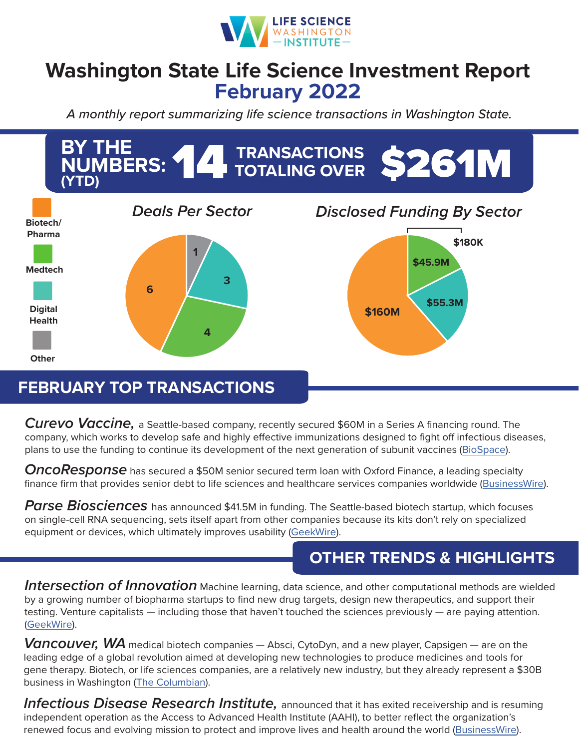

## **Washington State Life Science Investment Report February 2022**

*A monthly report summarizing life science transactions in Washington State.*



## **FEBRUARY TOP TRANSACTIONS**

*Curevo Vaccine,* a Seattle-based company, recently secured \$60M in a Series A financing round. The company, which works to develop safe and highly effective immunizations designed to fight off infectious diseases, plans to use the funding to continue its development of the next generation of subunit vaccines ([BioSpace\)](https://www.biospace.com/article/curevo-nets-60m-for-adjuvant-lighter-shingles-vaccine-/).

*OncoResponse* has secured a \$50M senior secured term loan with Oxford Finance, a leading specialty finance firm that provides senior debt to life sciences and healthcare services companies worldwide [\(BusinessWire](https://www.businesswire.com/news/home/20220215005325/en/Oxford-Finance-Announces-the-Closing-of-a-50-Million-Credit-Facility-With-OncoResponse)).

Parse Biosciences has announced \$41.5M in funding. The Seattle-based biotech startup, which focuses on single-cell RNA sequencing, sets itself apart from other companies because its kits don't rely on specialized equipment or devices, which ultimately improves usability ([GeekWire\)](https://www.geekwire.com/2022/the-golden-age-for-research-tools-parse-biosciences-raises-41-5m-for-single-cell-tech/).

## **OTHER TRENDS & HIGHLIGHTS**

*Intersection of Innovation* Machine learning, data science, and other computational methods are wielded by a growing number of biopharma startups to find new drug targets, design new therapeutics, and support their testing. Venture capitalists — including those that haven't touched the sciences previously — are paying attention. ([GeekWire](https://www.geekwire.com/2022/intersection-of-innovation-why-top-tech-vc-firms-are-betting-big-on-life-science-startups/)).

*Vancouver, WA* medical biotech companies — Absci, CytoDyn, and a new player, Capsigen — are on the leading edge of a global revolution aimed at developing new technologies to produce medicines and tools for gene therapy. Biotech, or life sciences companies, are a relatively new industry, but they already represent a \$30B business in Washington [\(The Columbian](https://www.columbian.com/news/2022/feb/06/clark-county-state-bullish-on-biotech-industry/)).

*Infectious Disease Research Institute,* announced that it has exited receivership and is resuming independent operation as the Access to Advanced Health Institute (AAHI), to better reflect the organization's renewed focus and evolving mission to protect and improve lives and health around the world ([BusinessWire](https://www.businesswire.com/news/home/20220302005470/en/Infectious-Disease-Research-Institute-Exits-Receivership-and-Launches-AAHI-the-Access-to-Advanced-Health-Institute-with-50-Million-Funding-Commitment)).